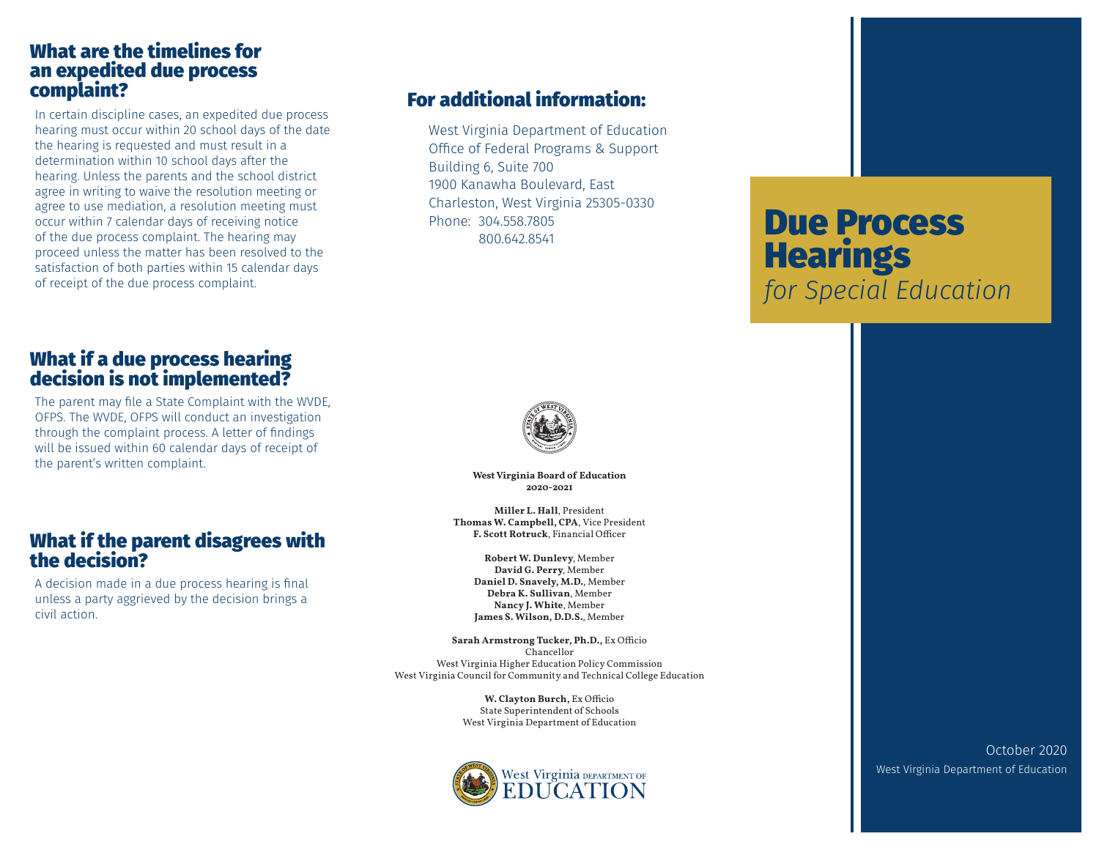#### What are the timelines for an expedited due process complaint?

In certain discipline cases, an expedited due process hearing must occur within 20 school days of the date the hearing is requested and must result in a determination within 10 school days after the hearing. Unless the parents and the school district agree in writing to waive the resolution meeting or agree to use mediation, a resolution meeting must occur within 7 calendar days of receiving notice of the due process complaint. The hearing may proceed unless the matter has been resolved to the satisfaction of both parties within 15 calendar days of receipt of the due process complaint.

## What if a due process hearing decision is not implemented?

The parent may file a State Complaint with the WVDE, OFPS. The WVDE, OFPS will conduct an investigation through the complaint process. A letter of findings will be issued within 60 calendar days of receipt of the parent's written complaint.

#### What if the parent disagrees with the decision?

A decision made in a due process hearing is final unless a party aggrieved by the decision brings a civil action.

# For additional information:

West Virginia Department of Education Office of Federal Programs & Support Building 6, Suite 700 1900 Kanawha Boulevard, East Charleston, West Virginia 25305-0330 Phone: 304.558.7805 800.642.8541



**West Virginia Board of Education 2020-2021**

**Miller L. Hall**, President **Thomas W. Campbell, CPA**, Vice President **F. Scott Rotruck**, Financial Officer

**Robert W. Dunlevy**, Member **David G. Perry**, Member **Daniel D. Snavely, M.D.**, Member **Debra K. Sullivan**, Member **Nancy J. White**, Member **James S. Wilson, D.D.S.**, Member

**Sarah Armstrong Tucker, Ph.D.,** Ex Officio Chancellor West Virginia Higher Education Policy Commission West Virginia Council for Community and Technical College Education

> **W. Clayton Burch,** Ex Officio State Superintendent of Schools West Virginia Department of Education



# Due Process **Hearings** *for Special Education*

October 2020 West Virginia Department of Education